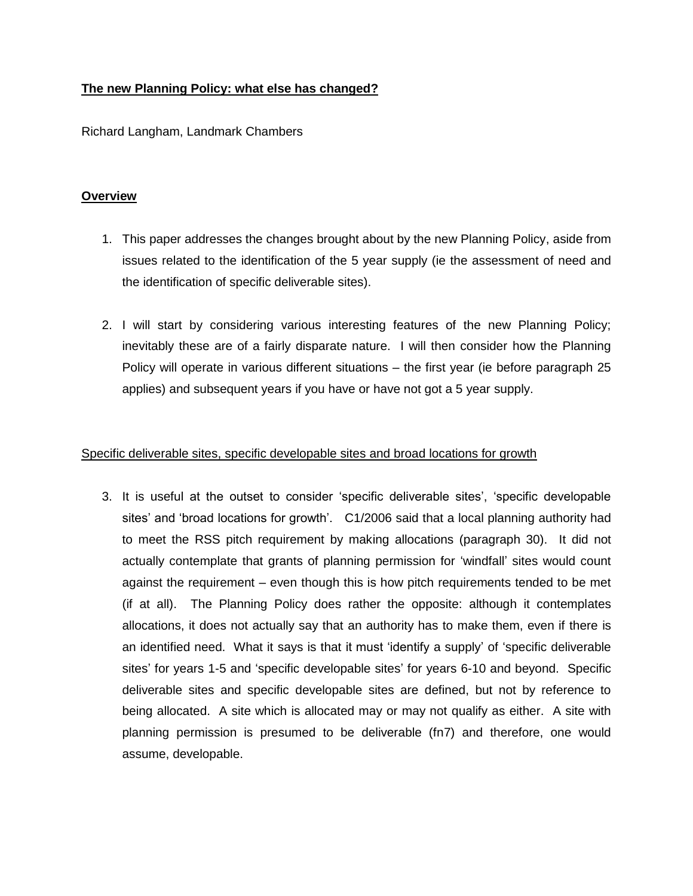# **The new Planning Policy: what else has changed?**

Richard Langham, Landmark Chambers

### **Overview**

- 1. This paper addresses the changes brought about by the new Planning Policy, aside from issues related to the identification of the 5 year supply (ie the assessment of need and the identification of specific deliverable sites).
- 2. I will start by considering various interesting features of the new Planning Policy; inevitably these are of a fairly disparate nature. I will then consider how the Planning Policy will operate in various different situations – the first year (ie before paragraph 25 applies) and subsequent years if you have or have not got a 5 year supply.

### Specific deliverable sites, specific developable sites and broad locations for growth

3. It is useful at the outset to consider 'specific deliverable sites', 'specific developable sites' and 'broad locations for growth'. C1/2006 said that a local planning authority had to meet the RSS pitch requirement by making allocations (paragraph 30). It did not actually contemplate that grants of planning permission for 'windfall' sites would count against the requirement – even though this is how pitch requirements tended to be met (if at all). The Planning Policy does rather the opposite: although it contemplates allocations, it does not actually say that an authority has to make them, even if there is an identified need. What it says is that it must 'identify a supply' of 'specific deliverable sites' for years 1-5 and 'specific developable sites' for years 6-10 and beyond. Specific deliverable sites and specific developable sites are defined, but not by reference to being allocated. A site which is allocated may or may not qualify as either. A site with planning permission is presumed to be deliverable (fn7) and therefore, one would assume, developable.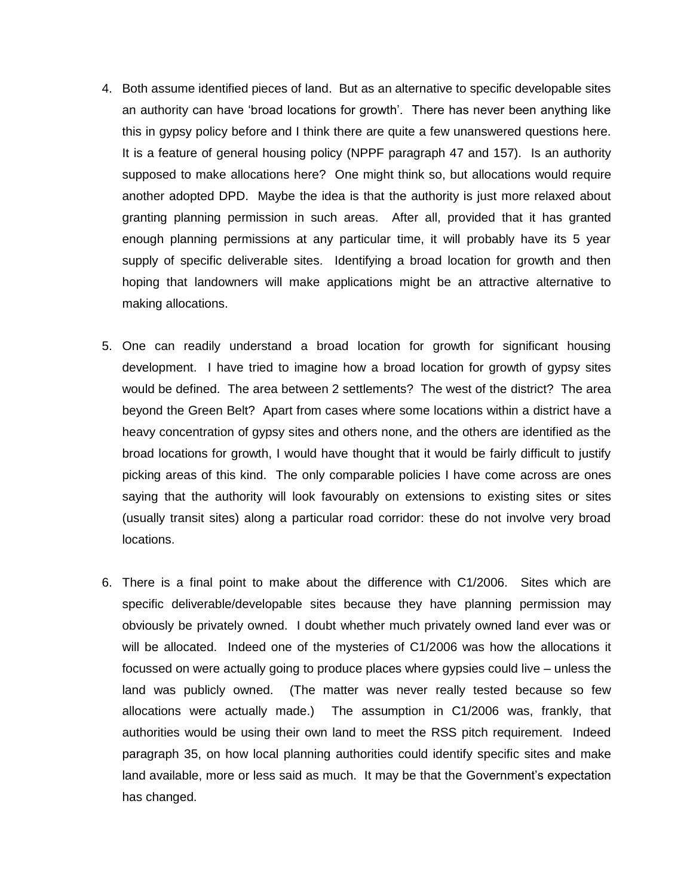- 4. Both assume identified pieces of land. But as an alternative to specific developable sites an authority can have 'broad locations for growth'. There has never been anything like this in gypsy policy before and I think there are quite a few unanswered questions here. It is a feature of general housing policy (NPPF paragraph 47 and 157). Is an authority supposed to make allocations here? One might think so, but allocations would require another adopted DPD. Maybe the idea is that the authority is just more relaxed about granting planning permission in such areas. After all, provided that it has granted enough planning permissions at any particular time, it will probably have its 5 year supply of specific deliverable sites. Identifying a broad location for growth and then hoping that landowners will make applications might be an attractive alternative to making allocations.
- 5. One can readily understand a broad location for growth for significant housing development. I have tried to imagine how a broad location for growth of gypsy sites would be defined. The area between 2 settlements? The west of the district? The area beyond the Green Belt? Apart from cases where some locations within a district have a heavy concentration of gypsy sites and others none, and the others are identified as the broad locations for growth, I would have thought that it would be fairly difficult to justify picking areas of this kind. The only comparable policies I have come across are ones saying that the authority will look favourably on extensions to existing sites or sites (usually transit sites) along a particular road corridor: these do not involve very broad locations.
- 6. There is a final point to make about the difference with C1/2006. Sites which are specific deliverable/developable sites because they have planning permission may obviously be privately owned. I doubt whether much privately owned land ever was or will be allocated. Indeed one of the mysteries of C1/2006 was how the allocations it focussed on were actually going to produce places where gypsies could live – unless the land was publicly owned. (The matter was never really tested because so few allocations were actually made.) The assumption in C1/2006 was, frankly, that authorities would be using their own land to meet the RSS pitch requirement. Indeed paragraph 35, on how local planning authorities could identify specific sites and make land available, more or less said as much. It may be that the Government's expectation has changed.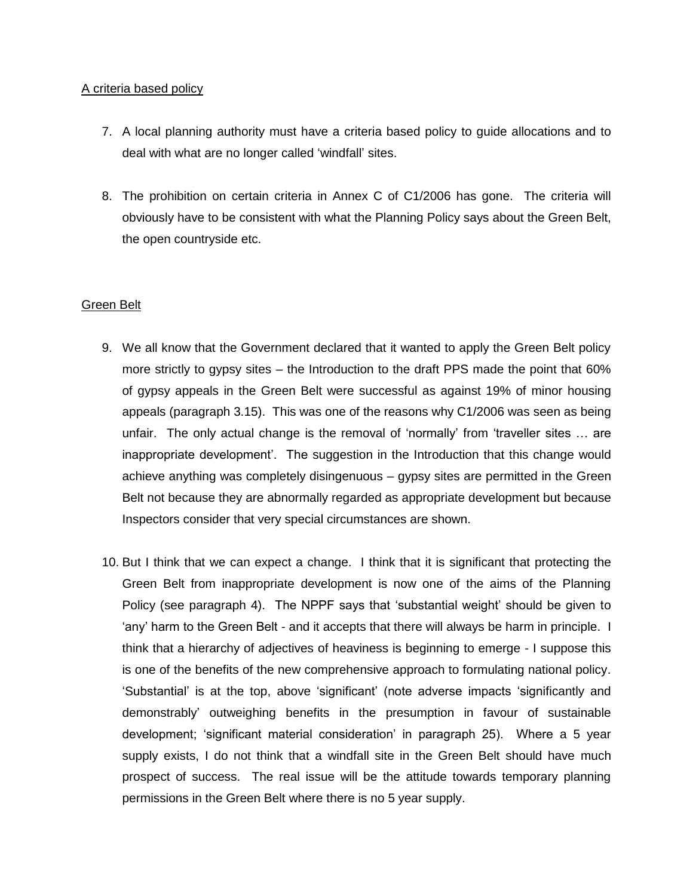## A criteria based policy

- 7. A local planning authority must have a criteria based policy to guide allocations and to deal with what are no longer called 'windfall' sites.
- 8. The prohibition on certain criteria in Annex C of C1/2006 has gone. The criteria will obviously have to be consistent with what the Planning Policy says about the Green Belt, the open countryside etc.

# Green Belt

- 9. We all know that the Government declared that it wanted to apply the Green Belt policy more strictly to gypsy sites – the Introduction to the draft PPS made the point that 60% of gypsy appeals in the Green Belt were successful as against 19% of minor housing appeals (paragraph 3.15). This was one of the reasons why C1/2006 was seen as being unfair. The only actual change is the removal of 'normally' from 'traveller sites … are inappropriate development'. The suggestion in the Introduction that this change would achieve anything was completely disingenuous – gypsy sites are permitted in the Green Belt not because they are abnormally regarded as appropriate development but because Inspectors consider that very special circumstances are shown.
- 10. But I think that we can expect a change. I think that it is significant that protecting the Green Belt from inappropriate development is now one of the aims of the Planning Policy (see paragraph 4). The NPPF says that 'substantial weight' should be given to 'any' harm to the Green Belt - and it accepts that there will always be harm in principle. I think that a hierarchy of adjectives of heaviness is beginning to emerge - I suppose this is one of the benefits of the new comprehensive approach to formulating national policy. 'Substantial' is at the top, above 'significant' (note adverse impacts 'significantly and demonstrably' outweighing benefits in the presumption in favour of sustainable development; 'significant material consideration' in paragraph 25). Where a 5 year supply exists, I do not think that a windfall site in the Green Belt should have much prospect of success. The real issue will be the attitude towards temporary planning permissions in the Green Belt where there is no 5 year supply.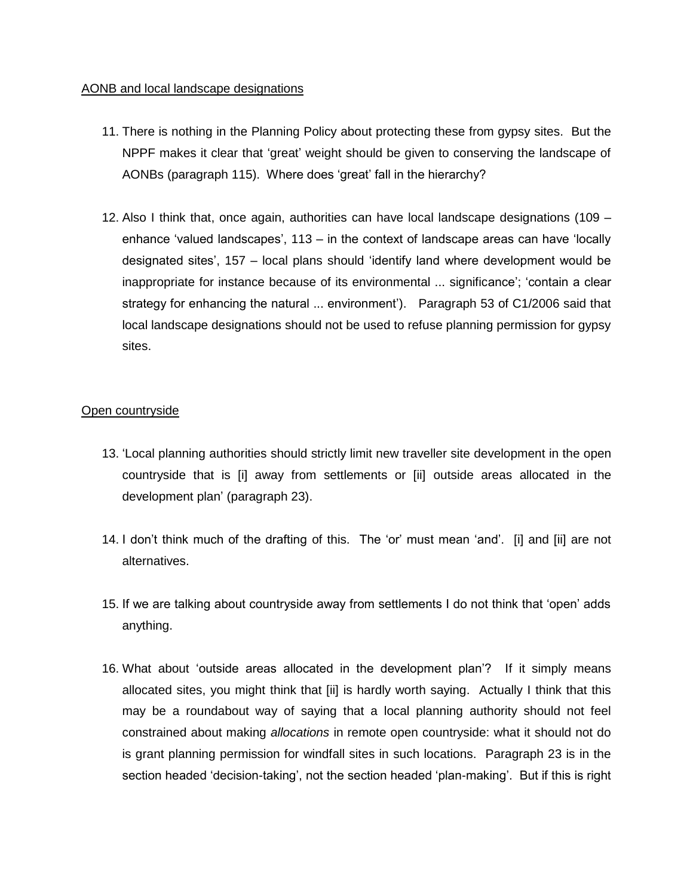## AONB and local landscape designations

- 11. There is nothing in the Planning Policy about protecting these from gypsy sites. But the NPPF makes it clear that 'great' weight should be given to conserving the landscape of AONBs (paragraph 115). Where does 'great' fall in the hierarchy?
- 12. Also I think that, once again, authorities can have local landscape designations (109 enhance 'valued landscapes', 113 – in the context of landscape areas can have 'locally designated sites', 157 – local plans should 'identify land where development would be inappropriate for instance because of its environmental ... significance'; 'contain a clear strategy for enhancing the natural ... environment'). Paragraph 53 of C1/2006 said that local landscape designations should not be used to refuse planning permission for gypsy sites.

# Open countryside

- 13. 'Local planning authorities should strictly limit new traveller site development in the open countryside that is [i] away from settlements or [ii] outside areas allocated in the development plan' (paragraph 23).
- 14. I don't think much of the drafting of this. The 'or' must mean 'and'. [i] and [ii] are not alternatives.
- 15. If we are talking about countryside away from settlements I do not think that 'open' adds anything.
- 16. What about 'outside areas allocated in the development plan'? If it simply means allocated sites, you might think that [ii] is hardly worth saying. Actually I think that this may be a roundabout way of saying that a local planning authority should not feel constrained about making *allocations* in remote open countryside: what it should not do is grant planning permission for windfall sites in such locations. Paragraph 23 is in the section headed 'decision-taking', not the section headed 'plan-making'. But if this is right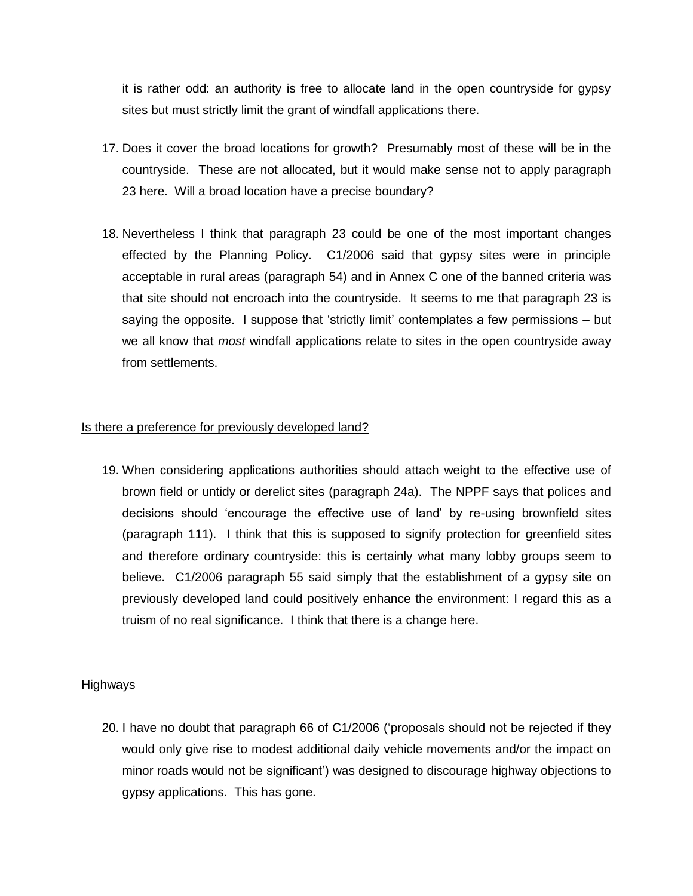it is rather odd: an authority is free to allocate land in the open countryside for gypsy sites but must strictly limit the grant of windfall applications there.

- 17. Does it cover the broad locations for growth? Presumably most of these will be in the countryside. These are not allocated, but it would make sense not to apply paragraph 23 here. Will a broad location have a precise boundary?
- 18. Nevertheless I think that paragraph 23 could be one of the most important changes effected by the Planning Policy. C1/2006 said that gypsy sites were in principle acceptable in rural areas (paragraph 54) and in Annex C one of the banned criteria was that site should not encroach into the countryside. It seems to me that paragraph 23 is saying the opposite. I suppose that 'strictly limit' contemplates a few permissions – but we all know that *most* windfall applications relate to sites in the open countryside away from settlements.

#### Is there a preference for previously developed land?

19. When considering applications authorities should attach weight to the effective use of brown field or untidy or derelict sites (paragraph 24a). The NPPF says that polices and decisions should 'encourage the effective use of land' by re-using brownfield sites (paragraph 111). I think that this is supposed to signify protection for greenfield sites and therefore ordinary countryside: this is certainly what many lobby groups seem to believe. C1/2006 paragraph 55 said simply that the establishment of a gypsy site on previously developed land could positively enhance the environment: I regard this as a truism of no real significance. I think that there is a change here.

#### **Highways**

20. I have no doubt that paragraph 66 of C1/2006 ('proposals should not be rejected if they would only give rise to modest additional daily vehicle movements and/or the impact on minor roads would not be significant') was designed to discourage highway objections to gypsy applications. This has gone.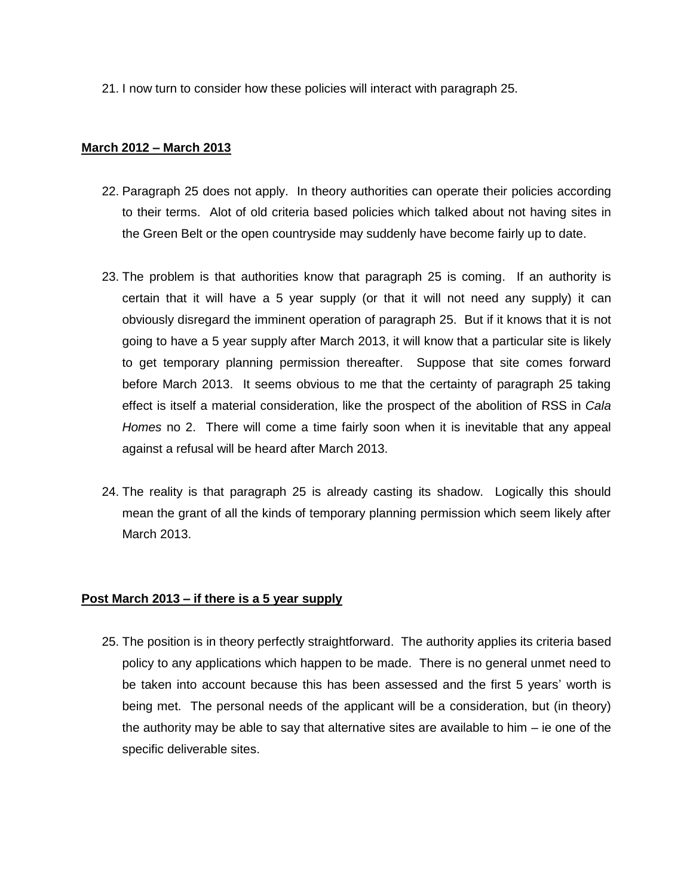21. I now turn to consider how these policies will interact with paragraph 25.

#### **March 2012 – March 2013**

- 22. Paragraph 25 does not apply. In theory authorities can operate their policies according to their terms. Alot of old criteria based policies which talked about not having sites in the Green Belt or the open countryside may suddenly have become fairly up to date.
- 23. The problem is that authorities know that paragraph 25 is coming. If an authority is certain that it will have a 5 year supply (or that it will not need any supply) it can obviously disregard the imminent operation of paragraph 25. But if it knows that it is not going to have a 5 year supply after March 2013, it will know that a particular site is likely to get temporary planning permission thereafter. Suppose that site comes forward before March 2013. It seems obvious to me that the certainty of paragraph 25 taking effect is itself a material consideration, like the prospect of the abolition of RSS in *Cala Homes* no 2. There will come a time fairly soon when it is inevitable that any appeal against a refusal will be heard after March 2013.
- 24. The reality is that paragraph 25 is already casting its shadow. Logically this should mean the grant of all the kinds of temporary planning permission which seem likely after March 2013.

## **Post March 2013 – if there is a 5 year supply**

25. The position is in theory perfectly straightforward. The authority applies its criteria based policy to any applications which happen to be made. There is no general unmet need to be taken into account because this has been assessed and the first 5 years' worth is being met. The personal needs of the applicant will be a consideration, but (in theory) the authority may be able to say that alternative sites are available to him – ie one of the specific deliverable sites.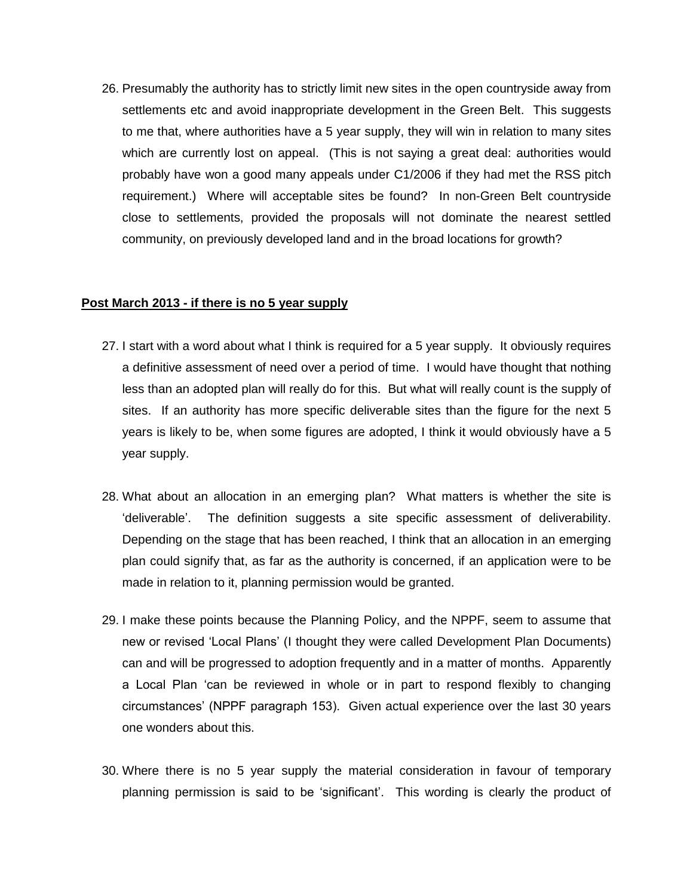26. Presumably the authority has to strictly limit new sites in the open countryside away from settlements etc and avoid inappropriate development in the Green Belt. This suggests to me that, where authorities have a 5 year supply, they will win in relation to many sites which are currently lost on appeal. (This is not saying a great deal: authorities would probably have won a good many appeals under C1/2006 if they had met the RSS pitch requirement.) Where will acceptable sites be found? In non-Green Belt countryside close to settlements, provided the proposals will not dominate the nearest settled community, on previously developed land and in the broad locations for growth?

## **Post March 2013 - if there is no 5 year supply**

- 27. I start with a word about what I think is required for a 5 year supply. It obviously requires a definitive assessment of need over a period of time. I would have thought that nothing less than an adopted plan will really do for this. But what will really count is the supply of sites. If an authority has more specific deliverable sites than the figure for the next 5 years is likely to be, when some figures are adopted, I think it would obviously have a 5 year supply.
- 28. What about an allocation in an emerging plan? What matters is whether the site is 'deliverable'. The definition suggests a site specific assessment of deliverability. Depending on the stage that has been reached, I think that an allocation in an emerging plan could signify that, as far as the authority is concerned, if an application were to be made in relation to it, planning permission would be granted.
- 29. I make these points because the Planning Policy, and the NPPF, seem to assume that new or revised 'Local Plans' (I thought they were called Development Plan Documents) can and will be progressed to adoption frequently and in a matter of months. Apparently a Local Plan 'can be reviewed in whole or in part to respond flexibly to changing circumstances' (NPPF paragraph 153). Given actual experience over the last 30 years one wonders about this.
- 30. Where there is no 5 year supply the material consideration in favour of temporary planning permission is said to be 'significant'. This wording is clearly the product of